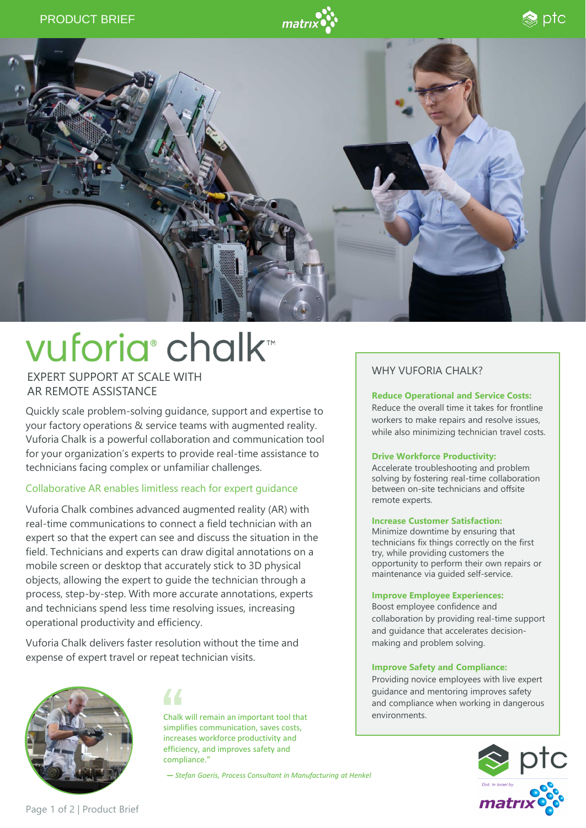



# vuforia<sup>®</sup> chalk™

## EXPERT SUPPORT AT SCALE WITH AR REMOTE ASSISTANCE

Quickly scale problem-solving guidance, support and expertise to your factory operations & service teams with augmented reality. Vuforia Chalk is a powerful collaboration and communication tool for your organization's experts to provide real-time assistance to technicians facing complex or unfamiliar challenges.

## Collaborative AR enables limitless reach for expert guidance

Vuforia Chalk combines advanced augmented reality (AR) with real-time communications to connect a field technician with an expert so that the expert can see and discuss the situation in the field. Technicians and experts can draw digital annotations on a mobile screen or desktop that accurately stick to 3D physical objects, allowing the expert to guide the technician through a process, step-by-step. With more accurate annotations, experts and technicians spend less time resolving issues, increasing operational productivity and efficiency.

Vuforia Chalk delivers faster resolution without the time and expense of expert travel or repeat technician visits.



44

Chalk will remain an important tool that simplifies communication, saves costs, increases workforce productivity and efficiency, and improves safety and compliance."

*— Stefan Goeris, Process Consultant in Manufacturing at Henkel*

# WHY VUFORIA CHALK?

#### **Reduce Operational and Service Costs:**

Reduce the overall time it takes for frontline workers to make repairs and resolve issues, while also minimizing technician travel costs.

#### **Drive Workforce Productivity:**

Accelerate troubleshooting and problem solving by fostering real-time collaboration between on-site technicians and offsite remote experts.

#### **Increase Customer Satisfaction:**

Minimize downtime by ensuring that technicians fix things correctly on the first try, while providing customers the opportunity to perform their own repairs or maintenance via guided self-service.

#### **Improve Employee Experiences:**

Boost employee confidence and collaboration by providing real-time support and guidance that accelerates decisionmaking and problem solving.

#### **Improve Safety and Compliance:**

Providing novice employees with live expert guidance and mentoring improves safety and compliance when working in dangerous environments.